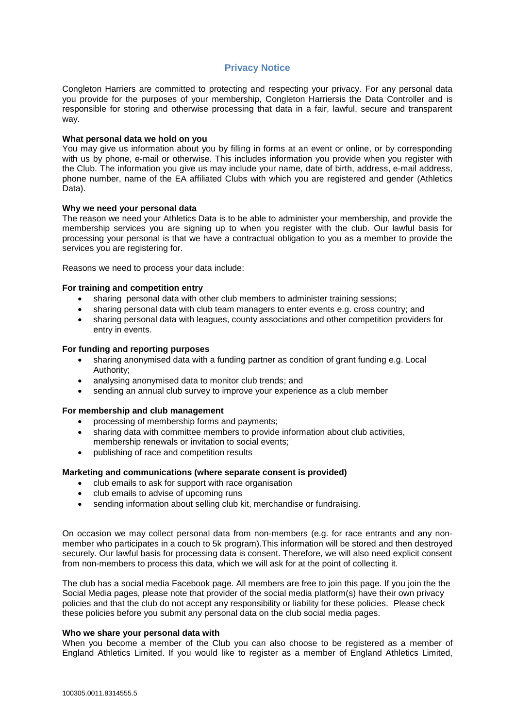# **Privacy Notice**

Congleton Harriers are committed to protecting and respecting your privacy. For any personal data you provide for the purposes of your membership, Congleton Harriersis the Data Controller and is responsible for storing and otherwise processing that data in a fair, lawful, secure and transparent way.

### **What personal data we hold on you**

You may give us information about you by filling in forms at an event or online, or by corresponding with us by phone, e-mail or otherwise. This includes information you provide when you register with the Club. The information you give us may include your name, date of birth, address, e-mail address, phone number, name of the EA affiliated Clubs with which you are registered and gender (Athletics Data).

### **Why we need your personal data**

The reason we need your Athletics Data is to be able to administer your membership, and provide the membership services you are signing up to when you register with the club. Our lawful basis for processing your personal is that we have a contractual obligation to you as a member to provide the services you are registering for.

Reasons we need to process your data include:

## **For training and competition entry**

- sharing personal data with other club members to administer training sessions;
- sharing personal data with club team managers to enter events e.g. cross country; and
- sharing personal data with leagues, county associations and other competition providers for entry in events.

#### **For funding and reporting purposes**

- sharing anonymised data with a funding partner as condition of grant funding e.g. Local Authority;
- analysing anonymised data to monitor club trends; and
- sending an annual club survey to improve your experience as a club member

### **For membership and club management**

- processing of membership forms and payments;
- sharing data with committee members to provide information about club activities, membership renewals or invitation to social events;
- publishing of race and competition results

# **Marketing and communications (where separate consent is provided)**

- club emails to ask for support with race organisation
- club emails to advise of upcoming runs
- sending information about selling club kit, merchandise or fundraising.

On occasion we may collect personal data from non-members (e.g. for race entrants and any nonmember who participates in a couch to 5k program).This information will be stored and then destroyed securely. Our lawful basis for processing data is consent. Therefore, we will also need explicit consent from non-members to process this data, which we will ask for at the point of collecting it.

The club has a social media Facebook page. All members are free to join this page. If you join the the Social Media pages, please note that provider of the social media platform(s) have their own privacy policies and that the club do not accept any responsibility or liability for these policies. Please check these policies before you submit any personal data on the club social media pages.

#### **Who we share your personal data with**

When you become a member of the Club you can also choose to be registered as a member of England Athletics Limited. If you would like to register as a member of England Athletics Limited,